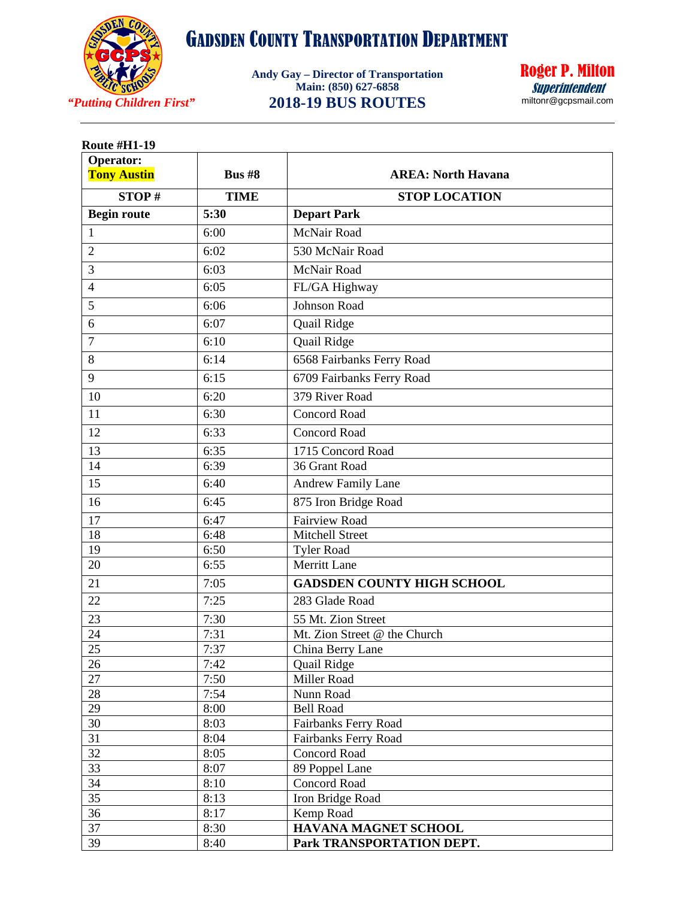

**Andy Gay – Director of Transportation Main: (850) 627-6858 2018-19 BUS ROUTES**



| Operator:             | <b>Bus #8</b> | <b>AREA: North Havana</b>                   |
|-----------------------|---------------|---------------------------------------------|
| <b>Tony Austin</b>    |               |                                             |
| STOP#                 | <b>TIME</b>   | <b>STOP LOCATION</b>                        |
| <b>Begin route</b>    | 5:30          | <b>Depart Park</b>                          |
| $\mathbf{1}$          | 6:00          | McNair Road                                 |
| $\overline{2}$        | 6:02          | 530 McNair Road                             |
| 3                     | 6:03          | McNair Road                                 |
| $\overline{4}$        | 6:05          | FL/GA Highway                               |
| 5                     | 6:06          | Johnson Road                                |
| 6                     | 6:07          | Quail Ridge                                 |
| $\overline{7}$        | 6:10          | Quail Ridge                                 |
| 8                     | 6:14          | 6568 Fairbanks Ferry Road                   |
|                       |               |                                             |
| 9                     | 6:15          | 6709 Fairbanks Ferry Road                   |
| 10                    | 6:20          | 379 River Road                              |
| 11                    | 6:30          | <b>Concord Road</b>                         |
| 12                    | 6:33          | <b>Concord Road</b>                         |
| 13                    | 6:35          | 1715 Concord Road                           |
| 14                    | 6:39          | 36 Grant Road                               |
| 15                    | 6:40          | <b>Andrew Family Lane</b>                   |
| 16                    | 6:45          | 875 Iron Bridge Road                        |
| 17                    | 6:47          | <b>Fairview Road</b>                        |
| 18                    | 6:48          | <b>Mitchell Street</b>                      |
| 19                    | 6:50          | <b>Tyler Road</b>                           |
| 20                    | 6:55          | <b>Merritt Lane</b>                         |
| 21                    | 7:05          | <b>GADSDEN COUNTY HIGH SCHOOL</b>           |
| 22                    | 7:25          | 283 Glade Road                              |
| 23                    | 7:30          | 55 Mt. Zion Street                          |
| 24                    | 7:31          | Mt. Zion Street @ the Church                |
| 25                    | 7:37          | China Berry Lane                            |
| 26                    | 7:42          | Quail Ridge                                 |
| 27                    | 7:50          | Miller Road                                 |
| $28\,$                | 7:54          | Nunn Road                                   |
| 29                    | 8:00          | <b>Bell Road</b>                            |
| 30<br>$\overline{31}$ | 8:03          | Fairbanks Ferry Road                        |
| 32                    | 8:04<br>8:05  | Fairbanks Ferry Road<br><b>Concord Road</b> |
| $\overline{33}$       | 8:07          | 89 Poppel Lane                              |
| 34                    | 8:10          | <b>Concord Road</b>                         |
| 35                    | 8:13          | Iron Bridge Road                            |
| 36                    | 8:17          | Kemp Road                                   |
| 37                    | 8:30          | HAVANA MAGNET SCHOOL                        |
| 39                    | 8:40          | Park TRANSPORTATION DEPT.                   |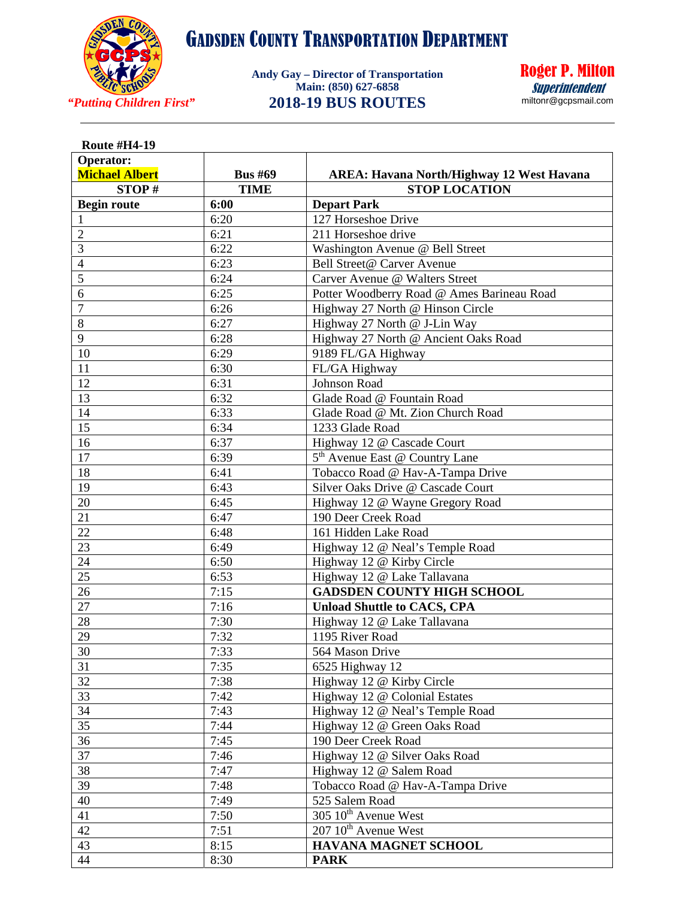

**Andy Gay – Director of Transportation Main: (850) 627-6858 2018-19 BUS ROUTES**



| <b>Route #H4-19</b>   |                |                                                  |
|-----------------------|----------------|--------------------------------------------------|
| Operator:             |                |                                                  |
| <b>Michael Albert</b> | <b>Bus #69</b> | <b>AREA: Havana North/Highway 12 West Havana</b> |
| STOP#                 | <b>TIME</b>    | <b>STOP LOCATION</b>                             |
| <b>Begin route</b>    | 6:00           | <b>Depart Park</b>                               |
| 1                     | 6:20           | 127 Horseshoe Drive                              |
| $\overline{2}$        | 6:21           | 211 Horseshoe drive                              |
| 3                     | 6:22           | Washington Avenue @ Bell Street                  |
| $\overline{4}$        | 6:23           | Bell Street@ Carver Avenue                       |
| 5                     | 6:24           | Carver Avenue @ Walters Street                   |
| 6                     | 6:25           | Potter Woodberry Road @ Ames Barineau Road       |
| 7                     | 6:26           | Highway 27 North @ Hinson Circle                 |
| 8                     | 6:27           | Highway 27 North @ J-Lin Way                     |
| 9                     | 6:28           | Highway 27 North @ Ancient Oaks Road             |
| 10                    | 6:29           | 9189 FL/GA Highway                               |
| 11                    | 6:30           | FL/GA Highway                                    |
| 12                    | 6:31           | <b>Johnson Road</b>                              |
| 13                    | 6:32           | Glade Road @ Fountain Road                       |
| 14                    | 6:33           | Glade Road @ Mt. Zion Church Road                |
| 15                    | 6:34           | 1233 Glade Road                                  |
| $\overline{16}$       | 6:37           | Highway 12 @ Cascade Court                       |
| 17                    | 6:39           | 5 <sup>th</sup> Avenue East @ Country Lane       |
| 18                    | 6:41           | Tobacco Road @ Hav-A-Tampa Drive                 |
| 19                    | 6:43           | Silver Oaks Drive @ Cascade Court                |
| 20                    | 6:45           | Highway 12 @ Wayne Gregory Road                  |
| $\overline{21}$       | 6:47           | 190 Deer Creek Road                              |
| 22                    | 6:48           | 161 Hidden Lake Road                             |
| 23                    | 6:49           | Highway 12 @ Neal's Temple Road                  |
| 24                    | 6:50           | Highway 12 @ Kirby Circle                        |
| 25                    | 6:53           | Highway 12 @ Lake Tallavana                      |
| 26                    | 7:15           | <b>GADSDEN COUNTY HIGH SCHOOL</b>                |
| 27                    | 7:16           | <b>Unload Shuttle to CACS, CPA</b>               |
| 28                    | 7:30           | Highway 12 @ Lake Tallavana                      |
| 29                    | 7:32           | 1195 River Road                                  |
| 30                    | 7:33           | 564 Mason Drive                                  |
| 31                    | 7:35           | 6525 Highway 12                                  |
| 32                    | 7:38           | Highway 12 @ Kirby Circle                        |
| 33                    | 7:42           | Highway 12 @ Colonial Estates                    |
| 34                    | 7:43           | Highway 12 @ Neal's Temple Road                  |
| 35                    | 7:44           | Highway 12 @ Green Oaks Road                     |
| 36                    | 7:45           | 190 Deer Creek Road                              |
| 37                    | 7:46           | Highway 12 @ Silver Oaks Road                    |
| 38                    | 7:47           | Highway 12 @ Salem Road                          |
| 39                    | 7:48           | Tobacco Road @ Hav-A-Tampa Drive                 |
| 40                    | 7:49           | 525 Salem Road                                   |
| 41                    | 7:50           | 305 10 <sup>th</sup> Avenue West                 |
| 42                    | 7:51           | 207 10 <sup>th</sup> Avenue West                 |
| 43                    | 8:15           | HAVANA MAGNET SCHOOL                             |
| 44                    | 8:30           | <b>PARK</b>                                      |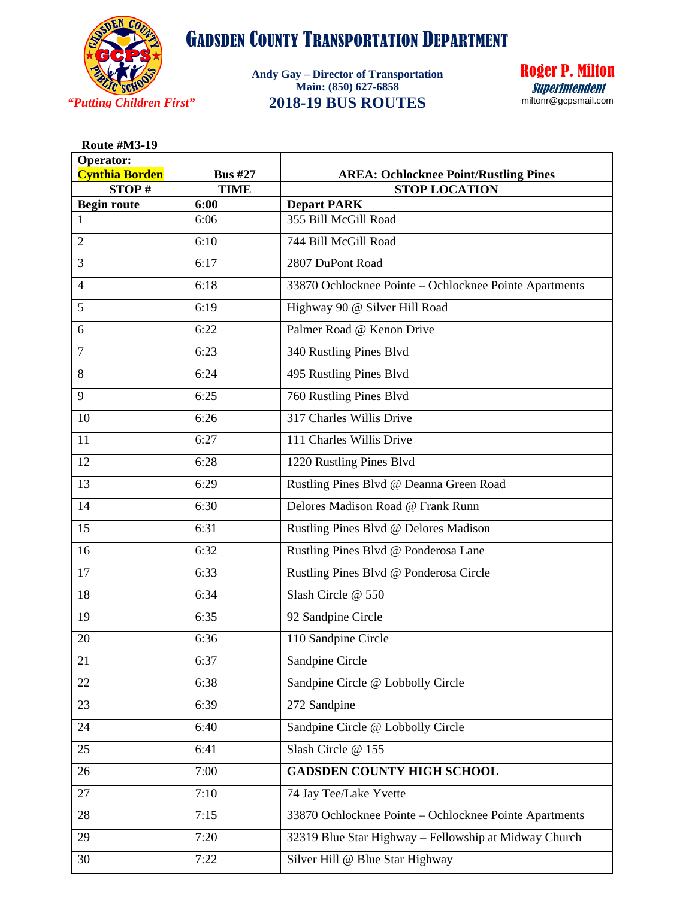

**Andy Gay – Director of Transportation Main: (850) 627-6858 2018-19 BUS ROUTES**



|      | <b>AREA: Ochlocknee Point/Rustling Pines</b><br><b>STOP LOCATION</b> |
|------|----------------------------------------------------------------------|
|      | <b>Depart PARK</b>                                                   |
| 6:06 | 355 Bill McGill Road                                                 |
| 6:10 | 744 Bill McGill Road                                                 |
| 6:17 | 2807 DuPont Road                                                     |
| 6:18 | 33870 Ochlocknee Pointe - Ochlocknee Pointe Apartments               |
| 6:19 | Highway 90 @ Silver Hill Road                                        |
| 6:22 | Palmer Road @ Kenon Drive                                            |
| 6:23 | 340 Rustling Pines Blvd                                              |
| 6:24 | 495 Rustling Pines Blvd                                              |
| 6:25 | 760 Rustling Pines Blvd                                              |
| 6:26 | 317 Charles Willis Drive                                             |
| 6:27 | 111 Charles Willis Drive                                             |
| 6:28 | 1220 Rustling Pines Blvd                                             |
| 6:29 | Rustling Pines Blvd @ Deanna Green Road                              |
| 6:30 | Delores Madison Road @ Frank Runn                                    |
| 6:31 | Rustling Pines Blvd @ Delores Madison                                |
| 6:32 | Rustling Pines Blvd @ Ponderosa Lane                                 |
| 6:33 | Rustling Pines Blvd @ Ponderosa Circle                               |
| 6:34 | Slash Circle @ 550                                                   |
| 6:35 | 92 Sandpine Circle                                                   |
| 6:36 | 110 Sandpine Circle                                                  |
| 6:37 | Sandpine Circle                                                      |
| 6:38 | Sandpine Circle @ Lobbolly Circle                                    |
| 6:39 | 272 Sandpine                                                         |
| 6:40 | Sandpine Circle @ Lobbolly Circle                                    |
| 6:41 | Slash Circle @ 155                                                   |
| 7:00 | <b>GADSDEN COUNTY HIGH SCHOOL</b>                                    |
| 7:10 | 74 Jay Tee/Lake Yvette                                               |
| 7:15 | 33870 Ochlocknee Pointe - Ochlocknee Pointe Apartments               |
| 7:20 | 32319 Blue Star Highway - Fellowship at Midway Church                |
| 7:22 | Silver Hill @ Blue Star Highway                                      |
|      | <b>Bus #27</b><br><b>TIME</b><br>6:00                                |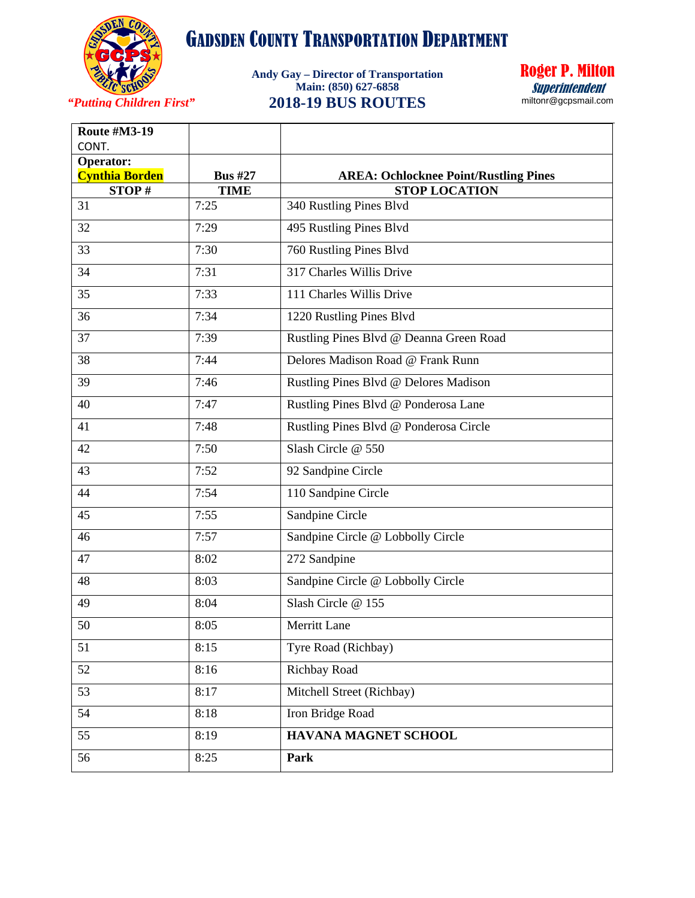

**Andy Gay – Director of Transportation Main: (850) 627-6858 2018-19 BUS ROUTES**



*"Putting Children First"*

| <b>Route #M3-19</b><br>CONT.              |                |                                              |
|-------------------------------------------|----------------|----------------------------------------------|
| <b>Operator:</b><br><b>Cynthia Borden</b> | <b>Bus #27</b> | <b>AREA: Ochlocknee Point/Rustling Pines</b> |
| STOP#                                     | <b>TIME</b>    | <b>STOP LOCATION</b>                         |
| 31                                        | 7:25           | 340 Rustling Pines Blvd                      |
| 32                                        | 7:29           | 495 Rustling Pines Blvd                      |
| 33                                        | 7:30           | 760 Rustling Pines Blvd                      |
| 34                                        | 7:31           | 317 Charles Willis Drive                     |
| 35                                        | 7:33           | 111 Charles Willis Drive                     |
| 36                                        | 7:34           | 1220 Rustling Pines Blvd                     |
| 37                                        | 7:39           | Rustling Pines Blvd @ Deanna Green Road      |
| 38                                        | 7:44           | Delores Madison Road @ Frank Runn            |
| 39                                        | 7:46           | Rustling Pines Blvd @ Delores Madison        |
| 40                                        | 7:47           | Rustling Pines Blvd @ Ponderosa Lane         |
| 41                                        | 7:48           | Rustling Pines Blvd @ Ponderosa Circle       |
| 42                                        | 7:50           | Slash Circle @ 550                           |
| 43                                        | 7:52           | 92 Sandpine Circle                           |
| 44                                        | 7:54           | 110 Sandpine Circle                          |
| 45                                        | 7:55           | Sandpine Circle                              |
| 46                                        | 7:57           | Sandpine Circle @ Lobbolly Circle            |
| 47                                        | 8:02           | 272 Sandpine                                 |
| 48                                        | 8:03           | Sandpine Circle @ Lobbolly Circle            |
| 49                                        | 8:04           | Slash Circle @ 155                           |
| 50                                        | 8:05           | Merritt Lane                                 |
| 51                                        | 8:15           | Tyre Road (Richbay)                          |
| 52                                        | 8:16           | Richbay Road                                 |
| 53                                        | 8:17           | Mitchell Street (Richbay)                    |
| 54                                        | 8:18           | Iron Bridge Road                             |
| 55                                        | 8:19           | <b>HAVANA MAGNET SCHOOL</b>                  |
| 56                                        | 8:25           | Park                                         |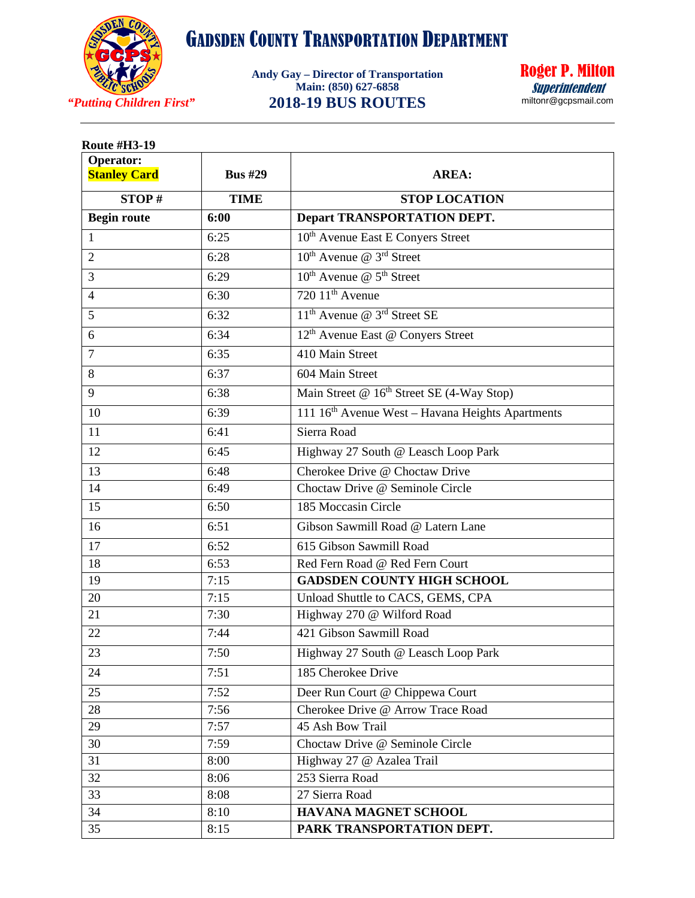

**Andy Gay – Director of Transportation Main: (850) 627-6858 2018-19 BUS ROUTES**

Roger P. Milton Superintendentmiltonr@gcpsmail.com

| <b>Operator:</b><br><b>Stanley Card</b> | <b>Bus #29</b> | <b>AREA:</b>                                                 |
|-----------------------------------------|----------------|--------------------------------------------------------------|
| STOP#                                   | <b>TIME</b>    | <b>STOP LOCATION</b>                                         |
| <b>Begin route</b>                      | 6:00           | <b>Depart TRANSPORTATION DEPT.</b>                           |
| $\mathbf{1}$                            | 6:25           | 10 <sup>th</sup> Avenue East E Conyers Street                |
| $\overline{2}$                          | 6:28           | $10^{th}$ Avenue @ $3^{rd}$ Street                           |
| $\overline{3}$                          | 6:29           | $10^{th}$ Avenue @ $5^{th}$ Street                           |
| $\overline{4}$                          | 6:30           | $720~11th$ Avenue                                            |
| 5                                       | 6:32           | 11 <sup>th</sup> Avenue @ 3 <sup>rd</sup> Street SE          |
| 6                                       | 6:34           | 12 <sup>th</sup> Avenue East @ Conyers Street                |
| $\overline{7}$                          | 6:35           | 410 Main Street                                              |
| 8                                       | 6:37           | 604 Main Street                                              |
| 9                                       | 6:38           | Main Street @ 16 <sup>th</sup> Street SE (4-Way Stop)        |
| 10                                      | 6:39           | 111 16 <sup>th</sup> Avenue West - Havana Heights Apartments |
| 11                                      | 6:41           | Sierra Road                                                  |
| 12                                      | 6:45           | Highway 27 South @ Leasch Loop Park                          |
| 13                                      | 6:48           | Cherokee Drive @ Choctaw Drive                               |
| 14                                      | 6:49           | Choctaw Drive @ Seminole Circle                              |
| 15                                      | 6:50           | 185 Moccasin Circle                                          |
| 16                                      | 6:51           | Gibson Sawmill Road @ Latern Lane                            |
| 17                                      | 6:52           | 615 Gibson Sawmill Road                                      |
| 18                                      | 6:53           | Red Fern Road @ Red Fern Court                               |
| 19                                      | 7:15           | <b>GADSDEN COUNTY HIGH SCHOOL</b>                            |
| 20                                      | 7:15           | Unload Shuttle to CACS, GEMS, CPA                            |
| 21                                      | 7:30           | Highway 270 @ Wilford Road                                   |
| 22                                      | 7:44           | 421 Gibson Sawmill Road                                      |
| 23                                      | 7:50           | Highway 27 South @ Leasch Loop Park                          |
| 24                                      | 7:51           | 185 Cherokee Drive                                           |
| 25                                      | 7:52           | Deer Run Court @ Chippewa Court                              |
| 28                                      | 7:56           | Cherokee Drive @ Arrow Trace Road                            |
| 29                                      | 7:57           | 45 Ash Bow Trail                                             |
| 30                                      | 7:59           | Choctaw Drive @ Seminole Circle                              |
| 31                                      | 8:00           | Highway 27 @ Azalea Trail                                    |
| 32                                      | 8:06           | 253 Sierra Road                                              |
| 33                                      | 8:08           | 27 Sierra Road                                               |
| 34                                      | 8:10           | HAVANA MAGNET SCHOOL                                         |
| 35                                      | 8:15           | PARK TRANSPORTATION DEPT.                                    |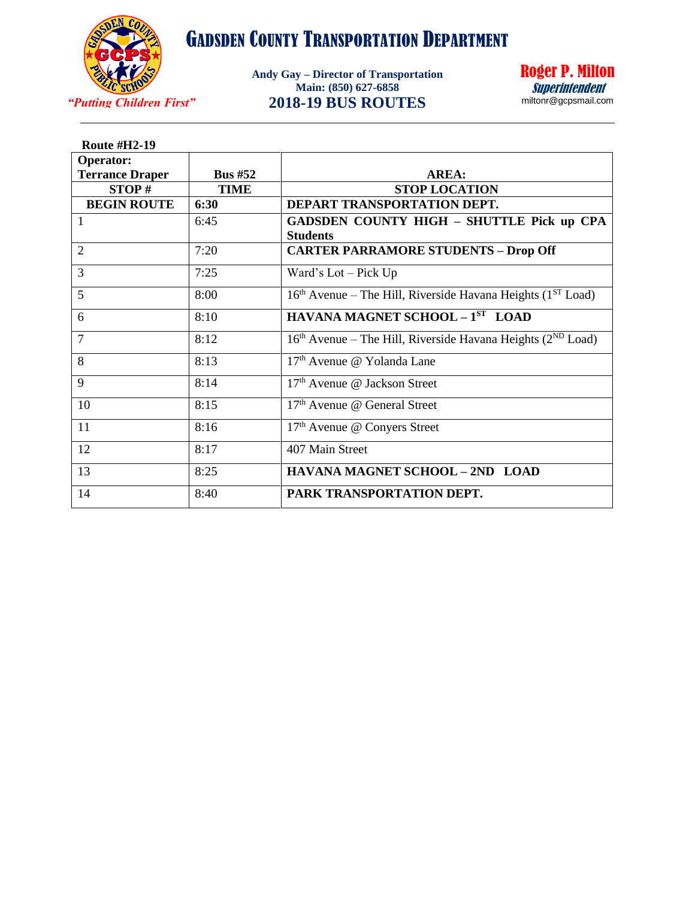

*"Putting Children First"* **2018-19 BUS ROUTES Andy Gay – Director of Transportation Main: (850) 627-6858**



| <b>Route #H2-19</b>    |             |                                                                                     |
|------------------------|-------------|-------------------------------------------------------------------------------------|
| <b>Operator:</b>       |             |                                                                                     |
| <b>Terrance Draper</b> | Bus $#52$   | AREA:                                                                               |
| STOP#                  | <b>TIME</b> | <b>STOP LOCATION</b>                                                                |
| <b>BEGIN ROUTE</b>     | 6:30        | DEPART TRANSPORTATION DEPT.                                                         |
| $\mathbf{1}$           | 6:45        | GADSDEN COUNTY HIGH - SHUTTLE Pick up CPA                                           |
|                        |             | <b>Students</b>                                                                     |
| $\overline{2}$         | 7:20        | <b>CARTER PARRAMORE STUDENTS - Drop Off</b>                                         |
| 3                      | 7:25        | Ward's $Lot - Pick Up$                                                              |
| 5                      | 8:00        | 16 <sup>th</sup> Avenue – The Hill, Riverside Havana Heights (1 <sup>ST</sup> Load) |
| 6                      | 8:10        | HAVANA MAGNET SCHOOL $-1ST$ LOAD                                                    |
| $\overline{7}$         | 8:12        | $16th$ Avenue – The Hill, Riverside Havana Heights ( $2ND$ Load)                    |
| 8                      | 8:13        | 17 <sup>th</sup> Avenue @ Yolanda Lane                                              |
| 9                      | 8:14        | $17th$ Avenue @ Jackson Street                                                      |
| 10                     | 8:15        | $17th$ Avenue @ General Street                                                      |
| 11                     | 8:16        | 17 <sup>th</sup> Avenue @ Conyers Street                                            |
| 12                     | 8:17        | 407 Main Street                                                                     |
| 13                     | 8:25        | HAVANA MAGNET SCHOOL - 2ND LOAD                                                     |
| 14                     | 8:40        | PARK TRANSPORTATION DEPT.                                                           |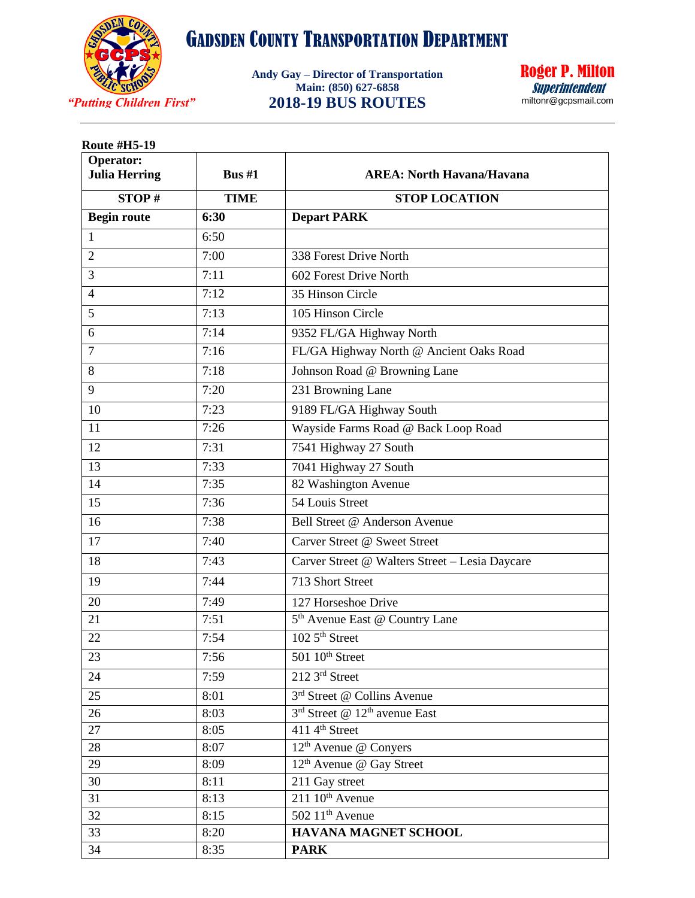

*"Putting Children First"* **2018-19 BUS ROUTES Andy Gay – Director of Transportation Main: (850) 627-6858**



| <b>Route #H5-19</b>               |              |                                                |  |
|-----------------------------------|--------------|------------------------------------------------|--|
| Operator:<br><b>Julia Herring</b> | Bus $#1$     | <b>AREA: North Havana/Havana</b>               |  |
| STOP#                             | <b>TIME</b>  | <b>STOP LOCATION</b>                           |  |
| <b>Begin route</b>                | 6:30         | <b>Depart PARK</b>                             |  |
| 1                                 | 6:50         |                                                |  |
| $\overline{2}$                    | 7:00         | 338 Forest Drive North                         |  |
| 3                                 | 7:11         | 602 Forest Drive North                         |  |
| $\overline{4}$                    | 7:12         | 35 Hinson Circle                               |  |
| 5                                 | 7:13         | 105 Hinson Circle                              |  |
| 6                                 | 7:14         | 9352 FL/GA Highway North                       |  |
| 7                                 | 7:16         | FL/GA Highway North @ Ancient Oaks Road        |  |
| 8                                 | 7:18         | Johnson Road @ Browning Lane                   |  |
| 9                                 | 7:20         | 231 Browning Lane                              |  |
| 10                                | 7:23         | 9189 FL/GA Highway South                       |  |
| 11                                | 7:26         | Wayside Farms Road @ Back Loop Road            |  |
| 12                                | 7:31         | 7541 Highway 27 South                          |  |
| 13                                | 7:33         | 7041 Highway 27 South                          |  |
| 14                                | 7:35         | 82 Washington Avenue                           |  |
| 15                                | 7:36         | 54 Louis Street                                |  |
| 16                                | 7:38         | Bell Street @ Anderson Avenue                  |  |
| 17                                | 7:40         | Carver Street @ Sweet Street                   |  |
| 18                                | 7:43         | Carver Street @ Walters Street - Lesia Daycare |  |
| 19                                | 7:44         | 713 Short Street                               |  |
| 20                                | 7:49         | 127 Horseshoe Drive                            |  |
| 21                                | 7:51         | 5 <sup>th</sup> Avenue East @ Country Lane     |  |
| 22                                | 7:54         | 102 5 <sup>th</sup> Street                     |  |
| 23                                | 7:56         | $501~10th$ Street                              |  |
| 24                                | 7:59         | 212 3rd Street                                 |  |
| 25                                | 8:01         | 3 <sup>rd</sup> Street @ Collins Avenue        |  |
| 26                                | 8:03         | 3rd Street @ 12 <sup>th</sup> avenue East      |  |
| 27                                | 8:05         | 411 4 <sup>th</sup> Street                     |  |
| 28                                | 8:07         | 12 <sup>th</sup> Avenue @ Conyers              |  |
| 29                                | 8:09         | 12 <sup>th</sup> Avenue @ Gay Street           |  |
| 30                                | 8:11         | 211 Gay street                                 |  |
| 31                                | 8:13         | $211~10th$ Avenue                              |  |
| 32                                | 8:15         | 502 11 <sup>th</sup> Avenue                    |  |
| 33<br>34                          | 8:20<br>8:35 | HAVANA MAGNET SCHOOL<br><b>PARK</b>            |  |